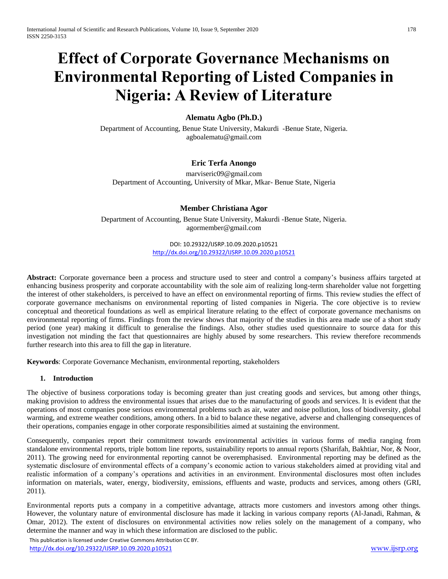# **Effect of Corporate Governance Mechanisms on Environmental Reporting of Listed Companies in Nigeria: A Review of Literature**

# **Alematu Agbo (Ph.D.)**

Department of Accounting, Benue State University, Makurdi -Benue State, Nigeria. agboalematu@gmail.com

# **Eric Terfa Anongo**

marviseric09@gmail.com Department of Accounting, University of Mkar, Mkar- Benue State, Nigeria

## **Member Christiana Agor**

Department of Accounting, Benue State University, Makurdi -Benue State, Nigeria. agormember@gmail.com

> DOI: 10.29322/IJSRP.10.09.2020.p10521 <http://dx.doi.org/10.29322/IJSRP.10.09.2020.p10521>

**Abstract:** Corporate governance been a process and structure used to steer and control a company's business affairs targeted at enhancing business prosperity and corporate accountability with the sole aim of realizing long-term shareholder value not forgetting the interest of other stakeholders, is perceived to have an effect on environmental reporting of firms. This review studies the effect of corporate governance mechanisms on environmental reporting of listed companies in Nigeria. The core objective is to review conceptual and theoretical foundations as well as empirical literature relating to the effect of corporate governance mechanisms on environmental reporting of firms. Findings from the review shows that majority of the studies in this area made use of a short study period (one year) making it difficult to generalise the findings. Also, other studies used questionnaire to source data for this investigation not minding the fact that questionnaires are highly abused by some researchers. This review therefore recommends further research into this area to fill the gap in literature.

**Keywords**: Corporate Governance Mechanism, environmental reporting, stakeholders

#### **1. Introduction**

The objective of business corporations today is becoming greater than just creating goods and services, but among other things, making provision to address the environmental issues that arises due to the manufacturing of goods and services. It is evident that the operations of most companies pose serious environmental problems such as air, water and noise pollution, loss of biodiversity, global warming, and extreme weather conditions, among others. In a bid to balance these negative, adverse and challenging consequences of their operations, companies engage in other corporate responsibilities aimed at sustaining the environment.

Consequently, companies report their commitment towards environmental activities in various forms of media ranging from standalone environmental reports, triple bottom line reports, sustainability reports to annual reports (Sharifah, Bakhtiar, Nor, & Noor, 2011). The growing need for environmental reporting cannot be overemphasised. Environmental reporting may be defined as the systematic disclosure of environmental effects of a company's economic action to various stakeholders aimed at providing vital and realistic information of a company's operations and activities in an environment. Environmental disclosures most often includes information on materials, water, energy, biodiversity, emissions, effluents and waste, products and services, among others (GRI, 2011).

Environmental reports puts a company in a competitive advantage, attracts more customers and investors among other things. However, the voluntary nature of environmental disclosure has made it lacking in various company reports (Al-Janadi, Rahman, & Omar, 2012). The extent of disclosures on environmental activities now relies solely on the management of a company, who determine the manner and way in which these information are disclosed to the public.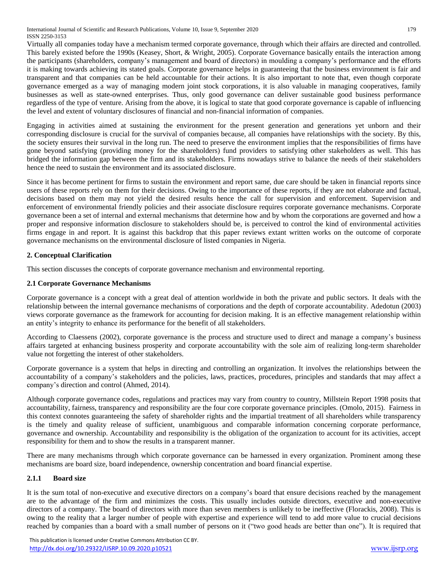International Journal of Scientific and Research Publications, Volume 10, Issue 9, September 2020 179 ISSN 2250-3153

Virtually all companies today have a mechanism termed corporate governance, through which their affairs are directed and controlled. This barely existed before the 1990s (Keasey, Short, & Wright, 2005). Corporate Governance basically entails the interaction among the participants (shareholders, company's management and board of directors) in moulding a company's performance and the efforts it is making towards achieving its stated goals. Corporate governance helps in guaranteeing that the business environment is fair and transparent and that companies can be held accountable for their actions. It is also important to note that, even though corporate governance emerged as a way of managing modern joint stock corporations, it is also valuable in managing cooperatives, family businesses as well as state-owned enterprises. Thus, only good governance can deliver sustainable good business performance regardless of the type of venture. Arising from the above, it is logical to state that good corporate governance is capable of influencing the level and extent of voluntary disclosures of financial and non-financial information of companies.

Engaging in activities aimed at sustaining the environment for the present generation and generations yet unborn and their corresponding disclosure is crucial for the survival of companies because, all companies have relationships with the society. By this, the society ensures their survival in the long run. The need to preserve the environment implies that the responsibilities of firms have gone beyond satisfying (providing money for the shareholders) fund providers to satisfying other stakeholders as well. This has bridged the information gap between the firm and its stakeholders. Firms nowadays strive to balance the needs of their stakeholders hence the need to sustain the environment and its associated disclosure.

Since it has become pertinent for firms to sustain the environment and report same, due care should be taken in financial reports since users of these reports rely on them for their decisions. Owing to the importance of these reports, if they are not elaborate and factual, decisions based on them may not yield the desired results hence the call for supervision and enforcement. Supervision and enforcement of environmental friendly policies and their associate disclosure requires corporate governance mechanisms. Corporate governance been a set of internal and external mechanisms that determine how and by whom the corporations are governed and how a proper and responsive information disclosure to stakeholders should be, is perceived to control the kind of environmental activities firms engage in and report. It is against this backdrop that this paper reviews extant written works on the outcome of corporate governance mechanisms on the environmental disclosure of listed companies in Nigeria.

# **2. Conceptual Clarification**

This section discusses the concepts of corporate governance mechanism and environmental reporting.

## **2.1 Corporate Governance Mechanisms**

Corporate governance is a concept with a great deal of attention worldwide in both the private and public sectors. It deals with the relationship between the internal governance mechanisms of corporations and the depth of corporate accountability. Adedotun (2003) views corporate governance as the framework for accounting for decision making. It is an effective management relationship within an entity's integrity to enhance its performance for the benefit of all stakeholders.

According to Claessens (2002), corporate governance is the process and structure used to direct and manage a company's business affairs targeted at enhancing business prosperity and corporate accountability with the sole aim of realizing long-term shareholder value not forgetting the interest of other stakeholders.

Corporate governance is a system that helps in directing and controlling an organization. It involves the relationships between the accountability of a company's stakeholders and the policies, laws, practices, procedures, principles and standards that may affect a company's direction and control (Ahmed, 2014).

Although corporate governance codes, regulations and practices may vary from country to country, Millstein Report 1998 posits that accountability, fairness, transparency and responsibility are the four core corporate governance principles. (Omolo, 2015). Fairness in this context connotes guaranteeing the safety of shareholder rights and the impartial treatment of all shareholders while transparency is the timely and quality release of sufficient, unambiguous and comparable information concerning corporate performance, governance and ownership. Accountability and responsibility is the obligation of the organization to account for its activities, accept responsibility for them and to show the results in a transparent manner.

There are many mechanisms through which corporate governance can be harnessed in every organization. Prominent among these mechanisms are board size, board independence, ownership concentration and board financial expertise.

## **2.1.1 Board size**

It is the sum total of non-executive and executive directors on a company's board that ensure decisions reached by the management are to the advantage of the firm and minimizes the costs. This usually includes outside directors, executive and non-executive directors of a company. The board of directors with more than seven members is unlikely to be ineffective (Florackis, 2008). This is owing to the reality that a larger number of people with expertise and experience will tend to add more value to crucial decisions reached by companies than a board with a small number of persons on it ("two good heads are better than one"). It is required that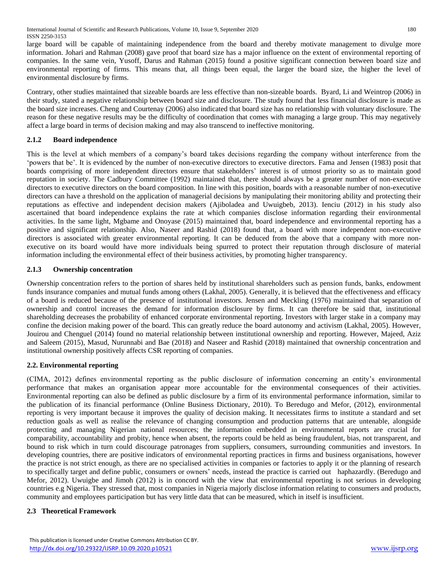large board will be capable of maintaining independence from the board and thereby motivate management to divulge more information. Johari and Rahman (2008) gave proof that board size has a major influence on the extent of environmental reporting of companies. In the same vein, Yusoff, Darus and Rahman (2015) found a positive significant connection between board size and environmental reporting of firms. This means that, all things been equal, the larger the board size, the higher the level of environmental disclosure by firms.

Contrary, other studies maintained that sizeable boards are less effective than non-sizeable boards. Byard, Li and Weintrop (2006) in their study, stated a negative relationship between board size and disclosure. The study found that less financial disclosure is made as the board size increases. Cheng and Courtenay (2006) also indicated that board size has no relationship with voluntary disclosure. The reason for these negative results may be the difficulty of coordination that comes with managing a large group. This may negatively affect a large board in terms of decision making and may also transcend to ineffective monitoring.

# **2.1.2 Board independence**

This is the level at which members of a company's board takes decisions regarding the company without interference from the 'powers that be'. It is evidenced by the number of non-executive directors to executive directors. Fama and Jensen (1983) posit that boards comprising of more independent directors ensure that stakeholders' interest is of utmost priority so as to maintain good reputation in society. The Cadbury Committee (1992) maintained that, there should always be a greater number of non-executive directors to executive directors on the board composition. In line with this position, boards with a reasonable number of non-executive directors can have a threshold on the application of managerial decisions by manipulating their monitoring ability and protecting their reputations as effective and independent decision makers (Ajiboladea and Uwuigbeb, 2013). Ienciu (2012) in his study also ascertained that board independence explains the rate at which companies disclose information regarding their environmental activities. In the same light, Mgbame and Onoyase (2015) maintained that, board independence and environmental reporting has a positive and significant relationship. Also, Naseer and Rashid (2018) found that, a board with more independent non-executive directors is associated with greater environmental reporting. It can be deduced from the above that a company with more nonexecutive on its board would have more individuals being spurred to protect their reputation through disclosure of material information including the environmental effect of their business activities, by promoting higher transparency.

# **2.1.3 Ownership concentration**

Ownership concentration refers to the portion of shares held by institutional shareholders such as pension funds, banks, endowment funds insurance companies and mutual funds among others (Lakhal, 2005). Generally, it is believed that the effectiveness and efficacy of a board is reduced because of the presence of institutional investors. Jensen and Meckling (1976) maintained that separation of ownership and control increases the demand for information disclosure by firms. It can therefore be said that, institutional shareholding decreases the probability of enhanced corporate environmental reporting. Investors with larger stake in a company may confine the decision making power of the board. This can greatly reduce the board autonomy and activism (Lakhal, 2005). However, Jouirou and Chenguel (2014) found no material relationship between institutional ownership and reporting. However, Majeed, Aziz and Saleem (2015), Masud, Nurunnabi and Bae (2018) and Naseer and Rashid (2018) maintained that ownership concentration and institutional ownership positively affects CSR reporting of companies.

## **2.2. Environmental reporting**

(CIMA, 2012) defines environmental reporting as the public disclosure of information concerning an entity's environmental performance that makes an organisation appear more accountable for the environmental consequences of their activities. Environmental reporting can also be defined as public disclosure by a firm of its environmental performance information, similar to the publication of its financial performance (Online Business Dictionary, 2010). To Beredugo and Mefor, (2012), environmental reporting is very important because it improves the quality of decision making. It necessitates firms to institute a standard and set reduction goals as well as realise the relevance of changing consumption and production patterns that are untenable, alongside protecting and managing Nigerian national resources; the information embedded in environmental reports are crucial for comparability, accountability and probity, hence when absent, the reports could be held as being fraudulent, bias, not transparent, and bound to risk which in turn could discourage patronages from suppliers, consumers, surrounding communities and investors. In developing countries, there are positive indicators of environmental reporting practices in firms and business organisations, however the practice is not strict enough, as there are no specialised activities in companies or factories to apply it or the planning of research to specifically target and define public, consumers or owners' needs, instead the practice is carried out haphazardly. (Beredugo and Mefor, 2012). Uwuigbe and Jimoh (2012) is in concord with the view that environmental reporting is not serious in developing countries e.g Nigeria. They stressed that, most companies in Nigeria majorly disclose information relating to consumers and products, community and employees participation but has very little data that can be measured, which in itself is insufficient.

## **2.3 Theoretical Framework**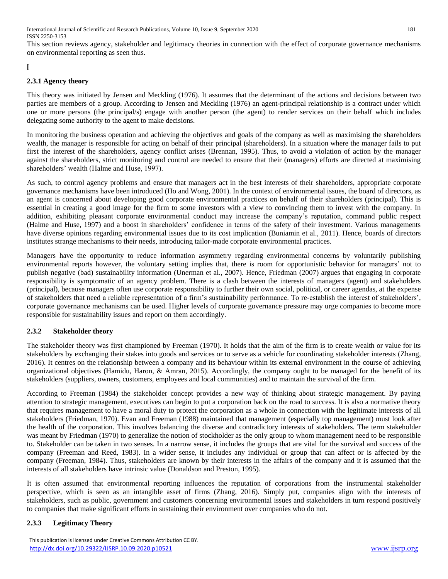International Journal of Scientific and Research Publications, Volume 10, Issue 9, September 2020 181 ISSN 2250-3153

This section reviews agency, stakeholder and legitimacy theories in connection with the effect of corporate governance mechanisms on environmental reporting as seen thus.

## **[**

#### **2.3.1 Agency theory**

This theory was initiated by Jensen and Meckling (1976). It assumes that the determinant of the actions and decisions between two parties are members of a group. According to Jensen and Meckling (1976) an agent-principal relationship is a contract under which one or more persons (the principal/s) engage with another person (the agent) to render services on their behalf which includes delegating some authority to the agent to make decisions.

In monitoring the business operation and achieving the objectives and goals of the company as well as maximising the shareholders wealth, the manager is responsible for acting on behalf of their principal (shareholders). In a situation where the manager fails to put first the interest of the shareholders, agency conflict arises (Brennan, 1995). Thus, to avoid a violation of action by the manager against the shareholders, strict monitoring and control are needed to ensure that their (managers) efforts are directed at maximising shareholders' wealth (Halme and Huse, 1997).

As such, to control agency problems and ensure that managers act in the best interests of their shareholders, appropriate corporate governance mechanisms have been introduced (Ho and Wong, 2001). In the context of environmental issues, the board of directors, as an agent is concerned about developing good corporate environmental practices on behalf of their shareholders (principal). This is essential in creating a good image for the firm to some investors with a view to convincing them to invest with the company. In addition, exhibiting pleasant corporate environmental conduct may increase the company's reputation, command public respect (Halme and Huse, 1997) and a boost in shareholders' confidence in terms of the safety of their investment. Various managements have diverse opinions regarding environmental issues due to its cost implication (Buniamin et al., 2011). Hence, boards of directors institutes strange mechanisms to their needs, introducing tailor-made corporate environmental practices.

Managers have the opportunity to reduce information asymmetry regarding environmental concerns by voluntarily publishing environmental reports however, the voluntary setting implies that, there is room for opportunistic behavior for managers' not to publish negative (bad) sustainability information (Unerman et al., 2007). Hence, Friedman (2007) argues that engaging in corporate responsibility is symptomatic of an agency problem. There is a clash between the interests of managers (agent) and stakeholders (principal), because managers often use corporate responsibility to further their own social, political, or career agendas, at the expense of stakeholders that need a reliable representation of a firm's sustainability performance. To re-establish the interest of stakeholders', corporate governance mechanisms can be used. Higher levels of corporate governance pressure may urge companies to become more responsible for sustainability issues and report on them accordingly.

#### **2.3.2 Stakeholder theory**

The stakeholder theory was first championed by Freeman (1970). It holds that the aim of the firm is to create wealth or value for its stakeholders by exchanging their stakes into goods and services or to serve as a vehicle for coordinating stakeholder interests (Zhang, 2016). It centres on the relationship between a company and its behaviour within its external environment in the course of achieving organizational objectives (Hamidu, Haron, & Amran, 2015). Accordingly, the company ought to be managed for the benefit of its stakeholders (suppliers, owners, customers, employees and local communities) and to maintain the survival of the firm.

According to Freeman (1984) the stakeholder concept provides a new way of thinking about strategic management. By paying attention to strategic management, executives can begin to put a corporation back on the road to success. It is also a normative theory that requires management to have a moral duty to protect the corporation as a whole in connection with the legitimate interests of all stakeholders (Friedman, 1970). Evan and Freeman (1988) maintained that management (especially top management) must look after the health of the corporation. This involves balancing the diverse and contradictory interests of stakeholders. The term stakeholder was meant by Friedman (1970) to generalize the notion of stockholder as the only group to whom management need to be responsible to. Stakeholder can be taken in two senses. In a narrow sense, it includes the groups that are vital for the survival and success of the company (Freeman and Reed, 1983). In a wider sense, it includes any individual or group that can affect or is affected by the company (Freeman, 1984). Thus, stakeholders are known by their interests in the affairs of the company and it is assumed that the interests of all stakeholders have intrinsic value (Donaldson and Preston, 1995).

It is often assumed that environmental reporting influences the reputation of corporations from the instrumental stakeholder perspective, which is seen as an intangible asset of firms (Zhang, 2016). Simply put, companies align with the interests of stakeholders, such as public, government and customers concerning environmental issues and stakeholders in turn respond positively to companies that make significant efforts in sustaining their environment over companies who do not.

## **2.3.3 Legitimacy Theory**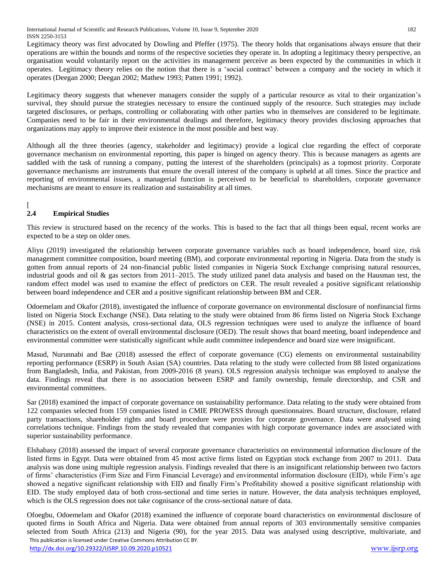Legitimacy theory was first advocated by Dowling and Pfeffer (1975). The theory holds that organisations always ensure that their operations are within the bounds and norms of the respective societies they operate in. In adopting a legitimacy theory perspective, an organisation would voluntarily report on the activities its management perceive as been expected by the communities in which it operates. Legitimacy theory relies on the notion that there is a 'social contract' between a company and the society in which it operates (Deegan 2000; Deegan 2002; Mathew 1993; Patten 1991; 1992).

Legitimacy theory suggests that whenever managers consider the supply of a particular resource as vital to their organization's survival, they should pursue the strategies necessary to ensure the continued supply of the resource. Such strategies may include targeted disclosures, or perhaps, controlling or collaborating with other parties who in themselves are considered to be legitimate. Companies need to be fair in their environmental dealings and therefore, legitimacy theory provides disclosing approaches that organizations may apply to improve their existence in the most possible and best way.

Although all the three theories (agency, stakeholder and legitimacy) provide a logical clue regarding the effect of corporate governance mechanism on environmental reporting, this paper is hinged on agency theory. This is because managers as agents are saddled with the task of running a company, putting the interest of the shareholders (principals) as a topmost priority. Corporate governance mechanisms are instruments that ensure the overall interest of the company is upheld at all times. Since the practice and reporting of environmental issues, a managerial function is perceived to be beneficial to shareholders, corporate governance mechanisms are meant to ensure its realization and sustainability at all times.

#### $\lceil$ **2.4 Empirical Studies**

This review is structured based on the recency of the works. This is based to the fact that all things been equal, recent works are expected to be a step on older ones.

Aliyu (2019) investigated the relationship between corporate governance variables such as board independence, board size, risk management committee composition, board meeting (BM), and corporate environmental reporting in Nigeria. Data from the study is gotten from annual reports of 24 non-financial public listed companies in Nigeria Stock Exchange comprising natural resources, industrial goods and oil & gas sectors from 2011–2015. The study utilized panel data analysis and based on the Hausman test, the random effect model was used to examine the effect of predictors on CER. The result revealed a positive significant relationship between board independence and CER and a positive significant relationship between BM and CER.

Odoemelam and Okafor (2018), investigated the influence of corporate governance on environmental disclosure of nonfinancial firms listed on Nigeria Stock Exchange (NSE). Data relating to the study were obtained from 86 firms listed on Nigeria Stock Exchange (NSE) in 2015. Content analysis, cross-sectional data, OLS regression techniques were used to analyze the influence of board characteristics on the extent of overall environmental disclosure (OED). The result shows that board meeting, board independence and environmental committee were statistically significant while audit committee independence and board size were insignificant.

Masud, Nurunnabi and Bae (2018) assessed the effect of corporate governance (CG) elements on environmental sustainability reporting performance (ESRP) in South Asian (SA) countries. Data relating to the study were collected from 88 listed organizations from Bangladesh, India, and Pakistan, from 2009-2016 (8 years). OLS regression analysis technique was employed to analyse the data. Findings reveal that there is no association between ESRP and family ownership, female directorship, and CSR and environmental committees.

Sar (2018) examined the impact of corporate governance on sustainability performance. Data relating to the study were obtained from 122 companies selected from 159 companies listed in CMIE PROWESS through questionnaires. Board structure, disclosure, related party transactions, shareholder rights and board procedure were proxies for corporate governance. Data were analysed using correlations technique. Findings from the study revealed that companies with high corporate governance index are associated with superior sustainability performance.

Elshabasy (2018) assessed the impact of several corporate governance characteristics on environmental information disclosure of the listed firms in Egypt. Data were obtained from 45 most active firms listed on Egyptian stock exchange from 2007 to 2011. Data analysis was done using multiple regression analysis. Findings revealed that there is an insignificant relationship between two factors of firms' characteristics (Firm Size and Firm Financial Leverage) and environmental information disclosure (EID), while Firm's age showed a negative significant relationship with EID and finally Firm's Profitability showed a positive significant relationship with EID. The study employed data of both cross-sectional and time series in nature. However, the data analysis techniques employed, which is the OLS regression does not take cognisance of the cross-sectional nature of data.

 This publication is licensed under Creative Commons Attribution CC BY. <http://dx.doi.org/10.29322/IJSRP.10.09.2020.p10521> [www.ijsrp.org](http://ijsrp.org/) Ofoegbu, Odoemelam and Okafor (2018) examined the influence of corporate board characteristics on environmental disclosure of quoted firms in South Africa and Nigeria. Data were obtained from annual reports of 303 environmentally sensitive companies selected from South Africa (213) and Nigeria (90), for the year 2015. Data was analysed using descriptive, multivariate, and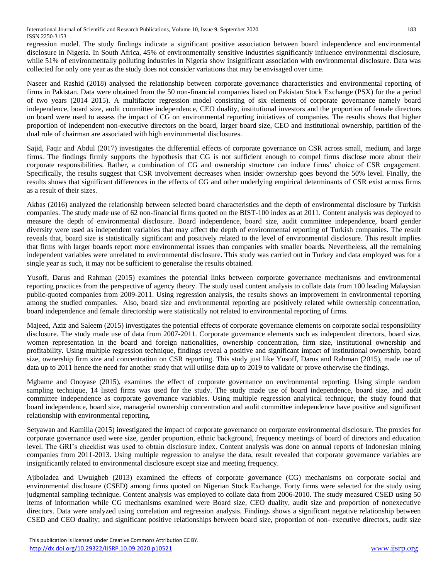International Journal of Scientific and Research Publications, Volume 10, Issue 9, September 2020 183 ISSN 2250-3153

regression model. The study findings indicate a significant positive association between board independence and environmental disclosure in Nigeria. In South Africa, 45% of environmentally sensitive industries significantly influence environmental disclosure, while 51% of environmentally polluting industries in Nigeria show insignificant association with environmental disclosure. Data was collected for only one year as the study does not consider variations that may be envisaged over time.

Naseer and Rashid (2018) analysed the relationship between corporate governance characteristics and environmental reporting of firms in Pakistan. Data were obtained from the 50 non-financial companies listed on Pakistan Stock Exchange (PSX) for the a period of two years (2014–2015). A multifactor regression model consisting of six elements of corporate governance namely board independence, board size, audit committee independence, CEO duality, institutional investors and the proportion of female directors on board were used to assess the impact of CG on environmental reporting initiatives of companies. The results shows that higher proportion of independent non-executive directors on the board, larger board size, CEO and institutional ownership, partition of the dual role of chairman are associated with high environmental disclosures.

Sajid, Faqir and Abdul (2017) investigates the differential effects of corporate governance on CSR across small, medium, and large firms. The findings firmly supports the hypothesis that CG is not sufficient enough to compel firms disclose more about their corporate responsibilities. Rather, a combination of CG and ownership structure can induce firms' choice of CSR engagement. Specifically, the results suggest that CSR involvement decreases when insider ownership goes beyond the 50% level. Finally, the results shows that significant differences in the effects of CG and other underlying empirical determinants of CSR exist across firms as a result of their sizes.

Akbas (2016) analyzed the relationship between selected board characteristics and the depth of environmental disclosure by Turkish companies. The study made use of 62 non-financial firms quoted on the BIST-100 index as at 2011. Content analysis was deployed to measure the depth of environmental disclosure. Board independence, board size, audit committee independence, board gender diversity were used as independent variables that may affect the depth of environmental reporting of Turkish companies. The result reveals that, board size is statistically significant and positively related to the level of environmental disclosure. This result implies that firms with larger boards report more environmental issues than companies with smaller boards. Nevertheless, all the remaining independent variables were unrelated to environmental disclosure. This study was carried out in Turkey and data employed was for a single year as such, it may not be sufficient to generalise the results obtained.

Yusoff, Darus and Rahman (2015) examines the potential links between corporate governance mechanisms and environmental reporting practices from the perspective of agency theory. The study used content analysis to collate data from 100 leading Malaysian public-quoted companies from 2009-2011. Using regression analysis, the results shows an improvement in environmental reporting among the studied companies. Also, board size and environmental reporting are positively related while ownership concentration, board independence and female directorship were statistically not related to environmental reporting of firms.

Majeed, Aziz and Saleem (2015) investigates the potential effects of corporate governance elements on corporate social responsibility disclosure. The study made use of data from 2007-2011. Corporate governance elements such as independent directors, board size, women representation in the board and foreign nationalities, ownership concentration, firm size, institutional ownership and profitability. Using multiple regression technique, findings reveal a positive and significant impact of institutional ownership, board size, ownership firm size and concentration on CSR reporting. This study just like Yusoff, Darus and Rahman (2015), made use of data up to 2011 hence the need for another study that will utilise data up to 2019 to validate or prove otherwise the findings.

Mgbame and Onoyase (2015), examines the effect of corporate governance on environmental reporting. Using simple random sampling technique, 14 listed firms was used for the study. The study made use of board independence, board size, and audit committee independence as corporate governance variables. Using multiple regression analytical technique, the study found that board independence, board size, managerial ownership concentration and audit committee independence have positive and significant relationship with environmental reporting.

Setyawan and Kamilla (2015) investigated the impact of corporate governance on corporate environmental disclosure. The proxies for corporate governance used were size, gender proportion, ethnic background, frequency meetings of board of directors and education level. The GRI's checklist was used to obtain disclosure index. Content analysis was done on annual reports of Indonesian mining companies from 2011-2013. Using multiple regression to analyse the data, result revealed that corporate governance variables are insignificantly related to environmental disclosure except size and meeting frequency.

Ajiboladea and Uwuigbeb (2013) examined the effects of corporate governance (CG) mechanisms on corporate social and environmental disclosure (CSED) among firms quoted on Nigerian Stock Exchange. Forty firms were selected for the study using judgmental sampling technique. Content analysis was employed to collate data from 2006-2010. The study measured CSED using 50 items of information while CG mechanisms examined were Board size, CEO duality, audit size and proportion of nonexecutive directors. Data were analyzed using correlation and regression analysis. Findings shows a significant negative relationship between CSED and CEO duality; and significant positive relationships between board size, proportion of non- executive directors, audit size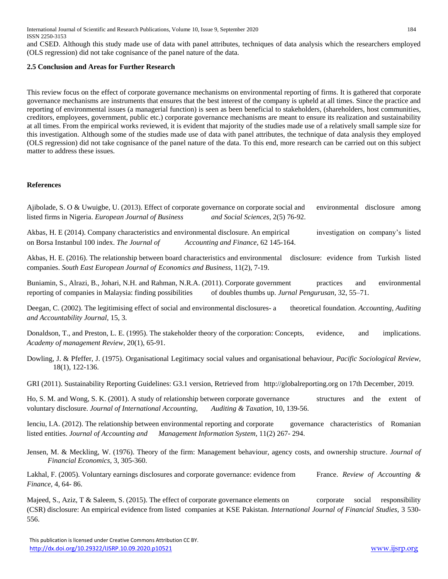International Journal of Scientific and Research Publications, Volume 10, Issue 9, September 2020 184 ISSN 2250-3153

and CSED. Although this study made use of data with panel attributes, techniques of data analysis which the researchers employed (OLS regression) did not take cognisance of the panel nature of the data.

#### **2.5 Conclusion and Areas for Further Research**

This review focus on the effect of corporate governance mechanisms on environmental reporting of firms. It is gathered that corporate governance mechanisms are instruments that ensures that the best interest of the company is upheld at all times. Since the practice and reporting of environmental issues (a managerial function) is seen as been beneficial to stakeholders, (shareholders, host communities, creditors, employees, government, public etc.) corporate governance mechanisms are meant to ensure its realization and sustainability at all times. From the empirical works reviewed, it is evident that majority of the studies made use of a relatively small sample size for this investigation. Although some of the studies made use of data with panel attributes, the technique of data analysis they employed (OLS regression) did not take cognisance of the panel nature of the data. To this end, more research can be carried out on this subject matter to address these issues.

#### **References**

Ajibolade, S. O & Uwuigbe, U. (2013). Effect of corporate governance on corporate social and environmental disclosure among listed firms in Nigeria. *European Journal of Business and Social Sciences,* 2(5) 76-92.

Akbas, H. E (2014). Company characteristics and environmental disclosure. An empirical investigation on company's listed on Borsa Instanbul 100 index. *The Journal of Accounting and Finance,* 62 145-164.

Akbas, H. E. (2016). The relationship between board characteristics and environmental disclosure: evidence from Turkish listed companies. *South East European Journal of Economics and Business,* 11(2), 7-19.

Buniamin, S., Alrazi, B., Johari, N.H. and Rahman, N.R.A. (2011). Corporate government practices and environmental reporting of companies in Malaysia: finding possibilities of doubles thumbs up. *Jurnal Pengurusan,* 32, 55–71.

Deegan, C. (2002). The legitimising effect of social and environmental disclosures- a theoretical foundation. *Accounting, Auditing and Accountability Journal,* 15, 3.

Donaldson, T., and Preston, L. E. (1995). The stakeholder theory of the corporation: Concepts, evidence, and implications. *Academy of management Review*, 20(1), 65-91.

Dowling, J. & Pfeffer, J. (1975). Organisational Legitimacy social values and organisational behaviour, *Pacific Sociological Review,*  18(1), 122-136.

GRI (2011). Sustainability Reporting Guidelines: G3.1 version, Retrieved from http://globalreporting.org on 17th December, 2019.

Ho, S. M. and Wong, S. K. (2001). A study of relationship between corporate governance structures and the extent of voluntary disclosure. *Journal of International Accounting, Auditing & Taxation, 10, 139-56.* 

Ienciu, I.A. (2012). The relationship between environmental reporting and corporate governance characteristics of Romanian listed entities. *Journal of Accounting and Management Information System,* 11(2) 267- 294.

Jensen, M. & Meckling, W. (1976). Theory of the firm: Management behaviour, agency costs, and ownership structure. *Journal of Financial Economics,* 3, 305-360.

Lakhal, F. (2005). Voluntary earnings disclosures and corporate governance: evidence from France. *Review of Accounting & Finance,* 4, 64- 86.

Majeed, S., Aziz, T & Saleem, S. (2015). The effect of corporate governance elements on corporate social responsibility (CSR) disclosure: An empirical evidence from listed companies at KSE Pakistan. *International Journal of Financial Studies,* 3 530- 556.